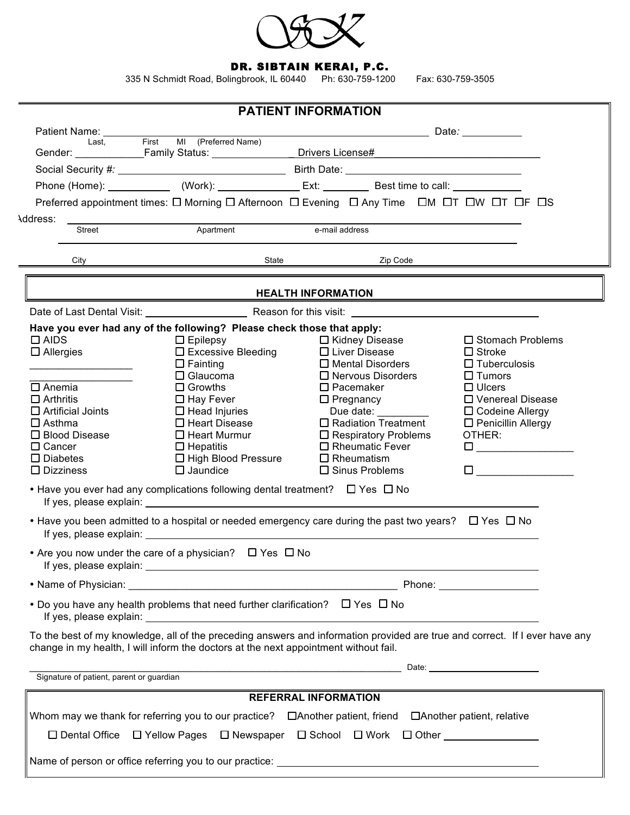

## DR. SIBTAIN KERAI, P.C.

335 N Schmidt Road, Bolingbrook, IL 60440 Ph: 630-759-1200 Fax: 630-759-3505

|                                                                                                                                                                                              |                                                                                                                                                                                                                                | <b>PATIENT INFORMATION</b>                                                                                            |                                         |  |  |
|----------------------------------------------------------------------------------------------------------------------------------------------------------------------------------------------|--------------------------------------------------------------------------------------------------------------------------------------------------------------------------------------------------------------------------------|-----------------------------------------------------------------------------------------------------------------------|-----------------------------------------|--|--|
| Patient Name: Name                                                                                                                                                                           |                                                                                                                                                                                                                                | and the contract of the contract of the Date: the contract of the contract of the contract of the contract of         |                                         |  |  |
| Last,                                                                                                                                                                                        | First MI (Preferred Name)<br>Gender: Family Status: Communication                                                                                                                                                              | Drivers License#                                                                                                      |                                         |  |  |
|                                                                                                                                                                                              | Social Security #: Note: Note: Note: Note: Note: Note: Note: Note: Note: Note: Note: Note: Note: Note: Note: Note: Note: Note: Note: Note: Note: Note: Note: Note: Note: Note: Note: Note: Note: Note: Note: Note: Note: Note: |                                                                                                                       |                                         |  |  |
|                                                                                                                                                                                              | Phone (Home): _______________ (Work): __________________ Ext: ____________ Best time to call: _______________                                                                                                                  |                                                                                                                       |                                         |  |  |
|                                                                                                                                                                                              | Preferred appointment times: $\square$ Morning $\square$ Afternoon $\square$ Evening $\square$ Any Time $\square$ M $\square$ T $\square$ W $\square$ T $\square$ F $\square$ S                                                |                                                                                                                       |                                         |  |  |
| Address:                                                                                                                                                                                     |                                                                                                                                                                                                                                |                                                                                                                       |                                         |  |  |
| Street                                                                                                                                                                                       | Apartment                                                                                                                                                                                                                      | e-mail address                                                                                                        |                                         |  |  |
| City                                                                                                                                                                                         | State                                                                                                                                                                                                                          | Zip Code                                                                                                              |                                         |  |  |
|                                                                                                                                                                                              |                                                                                                                                                                                                                                | <b>HEALTH INFORMATION</b>                                                                                             |                                         |  |  |
|                                                                                                                                                                                              |                                                                                                                                                                                                                                |                                                                                                                       |                                         |  |  |
|                                                                                                                                                                                              | Have you ever had any of the following? Please check those that apply:                                                                                                                                                         |                                                                                                                       |                                         |  |  |
| $\Box$ AIDS                                                                                                                                                                                  | $\Box$ Epilepsy                                                                                                                                                                                                                | $\Box$ Kidney Disease                                                                                                 | □ Stomach Problems                      |  |  |
| $\Box$ Allergies                                                                                                                                                                             | $\Box$ Excessive Bleeding                                                                                                                                                                                                      | $\Box$ Liver Disease                                                                                                  | $\Box$ Stroke                           |  |  |
| <u> 1980 - Johann Barbara, martxa alemaniar a</u>                                                                                                                                            | $\Box$ Fainting<br>$\Box$ Glaucoma                                                                                                                                                                                             | $\Box$ Mental Disorders                                                                                               | $\Box$ Tuberculosis                     |  |  |
| $\square$ Anemia                                                                                                                                                                             | $\Box$ Growths                                                                                                                                                                                                                 | $\Box$ Nervous Disorders<br>$\square$ Pacemaker                                                                       | $\Box$ Tumors<br>$\Box$ Ulcers          |  |  |
| $\Box$ Arthritis                                                                                                                                                                             | $\Box$ Hay Fever                                                                                                                                                                                                               | $\Box$ Pregnancy                                                                                                      | □ Venereal Disease                      |  |  |
| $\Box$ Artificial Joints                                                                                                                                                                     | $\Box$ Head Injuries                                                                                                                                                                                                           | Due date: $\frac{1}{2}$                                                                                               | $\Box$ Codeine Allergy                  |  |  |
| $\square$ Asthma                                                                                                                                                                             | $\square$ Heart Disease                                                                                                                                                                                                        | $\Box$ Radiation Treatment                                                                                            | □ Penicillin Allergy                    |  |  |
| □ Blood Disease                                                                                                                                                                              | $\Box$ Heart Murmur                                                                                                                                                                                                            | $\Box$ Respiratory Problems                                                                                           | OTHER:                                  |  |  |
| $\Box$ Cancer                                                                                                                                                                                | $\Box$ Hepatitis                                                                                                                                                                                                               | $\Box$ Rheumatic Fever                                                                                                | $\Box$ and the set of $\Box$ and $\Box$ |  |  |
| $\square$ Diabetes                                                                                                                                                                           | □ High Blood Pressure                                                                                                                                                                                                          | $\Box$ Rheumatism                                                                                                     |                                         |  |  |
| $\square$ Dizziness                                                                                                                                                                          | $\Box$ Jaundice                                                                                                                                                                                                                | $\Box$ Sinus Problems                                                                                                 | <u> 1970 - Jan Jawa</u><br>□            |  |  |
|                                                                                                                                                                                              | • Have you ever had any complications following dental treatment? $\Box$ Yes $\Box$ No                                                                                                                                         |                                                                                                                       |                                         |  |  |
|                                                                                                                                                                                              | • Have you been admitted to a hospital or needed emergency care during the past two years? $\Box$ Yes $\Box$ No                                                                                                                |                                                                                                                       |                                         |  |  |
|                                                                                                                                                                                              | • Are you now under the care of a physician? $\Box$ Yes $\Box$ No                                                                                                                                                              |                                                                                                                       |                                         |  |  |
|                                                                                                                                                                                              |                                                                                                                                                                                                                                |                                                                                                                       |                                         |  |  |
|                                                                                                                                                                                              | • Do you have any health problems that need further clarification? $\Box$ Yes $\Box$ No                                                                                                                                        |                                                                                                                       |                                         |  |  |
|                                                                                                                                                                                              | To the best of my knowledge, all of the preceding answers and information provided are true and correct. If I ever have any<br>change in my health, I will inform the doctors at the next appointment without fail.            |                                                                                                                       |                                         |  |  |
| Signature of patient, parent or guardian                                                                                                                                                     |                                                                                                                                                                                                                                | <u> 1989 - Johann Harry Harry Harry Harry Harry Harry Harry Harry Harry Harry Harry Harry Harry Harry Harry Harry</u> | Date: <u>_________________________</u>  |  |  |
|                                                                                                                                                                                              |                                                                                                                                                                                                                                |                                                                                                                       |                                         |  |  |
| <b>REFERRAL INFORMATION</b>                                                                                                                                                                  |                                                                                                                                                                                                                                |                                                                                                                       |                                         |  |  |
| Whom may we thank for referring you to our practice?<br>$\Box$ Another patient, relative metric relative<br>□ Dental Office □ Yellow Pages □ Newspaper □ School □ Work □ Other _____________ |                                                                                                                                                                                                                                |                                                                                                                       |                                         |  |  |
|                                                                                                                                                                                              |                                                                                                                                                                                                                                |                                                                                                                       |                                         |  |  |
|                                                                                                                                                                                              |                                                                                                                                                                                                                                |                                                                                                                       |                                         |  |  |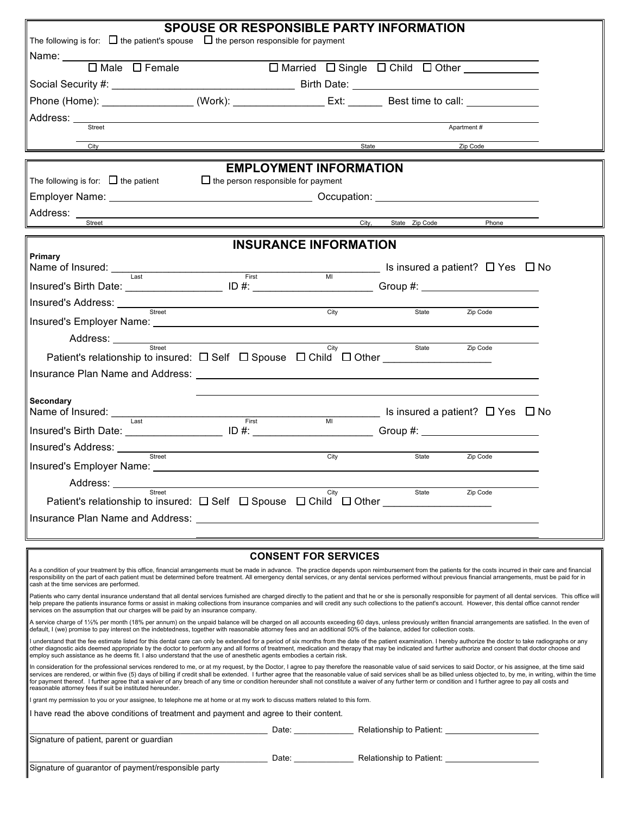| <b>SPOUSE OR RESPONSIBLE PARTY INFORMATION</b>                                                                                                                                                                                                                                                                                                                                                                                                                                                                                                                                                                                                                                                                              |                                                                            |                             |                      |                                                                 |  |  |
|-----------------------------------------------------------------------------------------------------------------------------------------------------------------------------------------------------------------------------------------------------------------------------------------------------------------------------------------------------------------------------------------------------------------------------------------------------------------------------------------------------------------------------------------------------------------------------------------------------------------------------------------------------------------------------------------------------------------------------|----------------------------------------------------------------------------|-----------------------------|----------------------|-----------------------------------------------------------------|--|--|
| The following is for: $\Box$ the patient's spouse $\Box$ the person responsible for payment                                                                                                                                                                                                                                                                                                                                                                                                                                                                                                                                                                                                                                 |                                                                            |                             |                      |                                                                 |  |  |
| $\Box$ Male $\Box$ Female                                                                                                                                                                                                                                                                                                                                                                                                                                                                                                                                                                                                                                                                                                   | □ Married □ Single □ Child □ Other ___________                             |                             |                      |                                                                 |  |  |
|                                                                                                                                                                                                                                                                                                                                                                                                                                                                                                                                                                                                                                                                                                                             |                                                                            |                             |                      |                                                                 |  |  |
| Phone (Home): __________________(Work): __________________Ext: __________Best time to call: ______________                                                                                                                                                                                                                                                                                                                                                                                                                                                                                                                                                                                                                  |                                                                            |                             |                      |                                                                 |  |  |
| Street                                                                                                                                                                                                                                                                                                                                                                                                                                                                                                                                                                                                                                                                                                                      |                                                                            |                             |                      | Apartment#                                                      |  |  |
| City                                                                                                                                                                                                                                                                                                                                                                                                                                                                                                                                                                                                                                                                                                                        |                                                                            |                             | State                | Zip Code                                                        |  |  |
|                                                                                                                                                                                                                                                                                                                                                                                                                                                                                                                                                                                                                                                                                                                             |                                                                            |                             |                      |                                                                 |  |  |
| The following is for: $\Box$ the patient                                                                                                                                                                                                                                                                                                                                                                                                                                                                                                                                                                                                                                                                                    | <b>EMPLOYMENT INFORMATION</b><br>$\Box$ the person responsible for payment |                             |                      |                                                                 |  |  |
|                                                                                                                                                                                                                                                                                                                                                                                                                                                                                                                                                                                                                                                                                                                             |                                                                            |                             |                      |                                                                 |  |  |
| Address: _                                                                                                                                                                                                                                                                                                                                                                                                                                                                                                                                                                                                                                                                                                                  |                                                                            |                             |                      |                                                                 |  |  |
| Street                                                                                                                                                                                                                                                                                                                                                                                                                                                                                                                                                                                                                                                                                                                      |                                                                            |                             | City, State Zip Code | Phone                                                           |  |  |
|                                                                                                                                                                                                                                                                                                                                                                                                                                                                                                                                                                                                                                                                                                                             | <b>INSURANCE INFORMATION</b>                                               |                             |                      |                                                                 |  |  |
| Primary<br>Name of Insured: Last                                                                                                                                                                                                                                                                                                                                                                                                                                                                                                                                                                                                                                                                                            |                                                                            |                             |                      | $\frac{1}{\text{M}}$ Is insured a patient? $\Box$ Yes $\Box$ No |  |  |
| Insured's Birth Date: _________________________ ID #: __________________________Group #: _____________________                                                                                                                                                                                                                                                                                                                                                                                                                                                                                                                                                                                                              | First                                                                      |                             |                      |                                                                 |  |  |
|                                                                                                                                                                                                                                                                                                                                                                                                                                                                                                                                                                                                                                                                                                                             |                                                                            |                             |                      |                                                                 |  |  |
| Street<br>Insured's Employer Name: Name: Name: Name: Name: Name: Name: Name: Name: Name: Name: Name: Name: Name: Name: Name: Name: Name: Name: Name: Name: Name: Name: Name: Name: Name: Name: Name: Name: Name: Name: Name: Name: Name:                                                                                                                                                                                                                                                                                                                                                                                                                                                                                    |                                                                            | City                        | State                | Zip Code                                                        |  |  |
|                                                                                                                                                                                                                                                                                                                                                                                                                                                                                                                                                                                                                                                                                                                             |                                                                            |                             |                      |                                                                 |  |  |
| Address: <u>street</u><br>Patient's relationship to insured: $\Box$ Self $\Box$ Spouse $\Box$ Child $\Box$ Other                                                                                                                                                                                                                                                                                                                                                                                                                                                                                                                                                                                                            |                                                                            | City                        | State                | Zip Code                                                        |  |  |
|                                                                                                                                                                                                                                                                                                                                                                                                                                                                                                                                                                                                                                                                                                                             |                                                                            |                             |                      |                                                                 |  |  |
|                                                                                                                                                                                                                                                                                                                                                                                                                                                                                                                                                                                                                                                                                                                             |                                                                            |                             |                      |                                                                 |  |  |
| Secondary                                                                                                                                                                                                                                                                                                                                                                                                                                                                                                                                                                                                                                                                                                                   |                                                                            |                             |                      | $\frac{1}{M}$ Is insured a patient? $\Box$ Yes $\Box$ No        |  |  |
| Name of Insured: Last <b>Example 2018</b> First<br>Insured's Birth Date: ________________________ ID #: __________________________Group #: ______________________                                                                                                                                                                                                                                                                                                                                                                                                                                                                                                                                                           |                                                                            |                             |                      |                                                                 |  |  |
|                                                                                                                                                                                                                                                                                                                                                                                                                                                                                                                                                                                                                                                                                                                             |                                                                            |                             |                      |                                                                 |  |  |
| Street                                                                                                                                                                                                                                                                                                                                                                                                                                                                                                                                                                                                                                                                                                                      |                                                                            | City                        | State                | Zip Code                                                        |  |  |
| Address:                                                                                                                                                                                                                                                                                                                                                                                                                                                                                                                                                                                                                                                                                                                    |                                                                            |                             |                      |                                                                 |  |  |
| <b>Street</b><br>Patient's relationship to insured: □ Self □ Spouse □ Child □ Other ________                                                                                                                                                                                                                                                                                                                                                                                                                                                                                                                                                                                                                                |                                                                            | City                        | State                | Zip Code                                                        |  |  |
| Insurance Plan Name and Address: Name of the Second State of the Second State of the Second State of the Second State of the Second State of the Second State of the Second State of the Second State of the Second State of t                                                                                                                                                                                                                                                                                                                                                                                                                                                                                              |                                                                            |                             |                      |                                                                 |  |  |
|                                                                                                                                                                                                                                                                                                                                                                                                                                                                                                                                                                                                                                                                                                                             |                                                                            |                             |                      |                                                                 |  |  |
|                                                                                                                                                                                                                                                                                                                                                                                                                                                                                                                                                                                                                                                                                                                             |                                                                            | <b>CONSENT FOR SERVICES</b> |                      |                                                                 |  |  |
| As a condition of your treatment by this office, financial arrangements must be made in advance. The practice depends upon reimbursement from the patients for the costs incurred in their care and financial<br>responsibility on the part of each patient must be determined before treatment. All emergency dental services, or any dental services performed without previous financial arrangements, must be paid for in<br>cash at the time services are performed.                                                                                                                                                                                                                                                   |                                                                            |                             |                      |                                                                 |  |  |
| Patients who carry dental insurance understand that all dental services furnished are charged directly to the patient and that he or she is personally responsible for payment of all dental services. This office will<br>help prepare the patients insurance forms or assist in making collections from insurance companies and will credit any such collections to the patient's account. However, this dental office cannot render<br>services on the assumption that our charges will be paid by an insurance company.                                                                                                                                                                                                 |                                                                            |                             |                      |                                                                 |  |  |
| A service charge of 11/2% per month (18% per annum) on the unpaid balance will be charged on all accounts exceeding 60 days, unless previously written financial arrangements are satisfied. In the even of<br>default, I (we) promise to pay interest on the indebtedness, together with reasonable attorney fees and an additional 50% of the balance, added for collection costs.                                                                                                                                                                                                                                                                                                                                        |                                                                            |                             |                      |                                                                 |  |  |
| I understand that the fee estimate listed for this dental care can only be extended for a period of six months from the date of the patient examination. I hereby authorize the doctor to take radiographs or any<br>other diagnostic aids deemed appropriate by the doctor to perform any and all forms of treatment, medication and therapy that may be indicated and further authorize and consent that doctor choose and<br>employ such assistance as he deems fit. I also understand that the use of anesthetic agents embodies a certain risk.                                                                                                                                                                        |                                                                            |                             |                      |                                                                 |  |  |
| In consideration for the professional services rendered to me, or at my request, by the Doctor, I agree to pay therefore the reasonable value of said services to said Doctor, or his assignee, at the time said<br>services are rendered, or within five (5) days of billing if credit shall be extended. I further agree that the reasonable value of said services shall be as billed unless objected to, by me, in writing, within the time<br>for payment thereof. I further agree that a waiver of any breach of any time or condition hereunder shall not constitute a waiver of any further term or condition and I further agree to pay all costs and<br>reasonable attorney fees if suit be instituted hereunder. |                                                                            |                             |                      |                                                                 |  |  |
| I grant my permission to you or your assignee, to telephone me at home or at my work to discuss matters related to this form.                                                                                                                                                                                                                                                                                                                                                                                                                                                                                                                                                                                               |                                                                            |                             |                      |                                                                 |  |  |
| I have read the above conditions of treatment and payment and agree to their content.                                                                                                                                                                                                                                                                                                                                                                                                                                                                                                                                                                                                                                       |                                                                            |                             |                      |                                                                 |  |  |
| Signature of patient, parent or guardian                                                                                                                                                                                                                                                                                                                                                                                                                                                                                                                                                                                                                                                                                    |                                                                            |                             |                      |                                                                 |  |  |
|                                                                                                                                                                                                                                                                                                                                                                                                                                                                                                                                                                                                                                                                                                                             |                                                                            |                             |                      | Date: Date: Relationship to Patient: 2000 Date: 2010            |  |  |
| Signature of guarantor of payment/responsible party                                                                                                                                                                                                                                                                                                                                                                                                                                                                                                                                                                                                                                                                         |                                                                            |                             |                      |                                                                 |  |  |